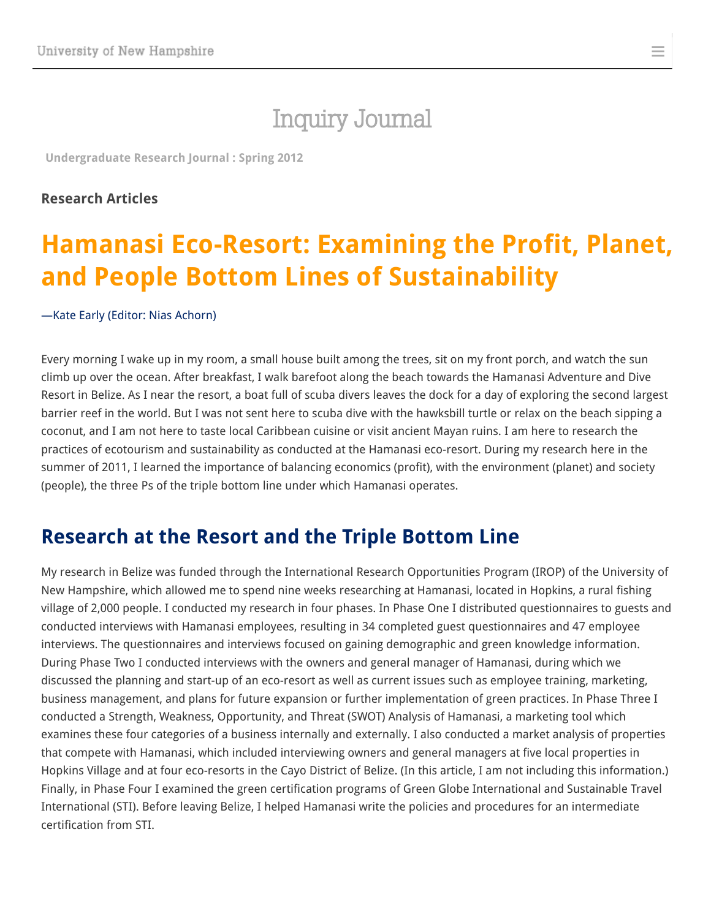## [Inquiry Journal](http://www.unh.edu/inquiryjournal/)

≡

**[Undergraduate](http://www.unh.edu/inquiryjournal/issue/spring-2012) Research Journal : Spring 2012**

#### **Research Articles**

# **Hamanasi Eco-Resort: Examining the Profit, Planet, and People Bottom Lines of Sustainability**

#### —Kate [Early](http://www.unh.edu/inquiryjournal/author/early-kate) (Editor: Nias [Achorn\)](http://www.unh.edu/inquiryjournal/editor/achorn-nias)

Every morning I wake up in my room, a small house built among the trees, sit on my front porch, and watch the sun climb up over the ocean. After breakfast, I walk barefoot along the beach towards the Hamanasi Adventure and Dive Resort in Belize. As I near the resort, a boat full of scuba divers leaves the dock for a day of exploring the second largest barrier reef in the world. But I was not sent here to scuba dive with the hawksbill turtle or relax on the beach sipping a coconut, and I am not here to taste local Caribbean cuisine or visit ancient Mayan ruins. I am here to research the practices of ecotourism and sustainability as conducted at the Hamanasi eco-resort. During my research here in the summer of 2011, I learned the importance of balancing economics (profit), with the environment (planet) and society (people), the three Ps of the triple bottom line under which Hamanasi operates.

#### **Research at the Resort and the Triple Bottom Line**

My research in Belize was funded through the International Research Opportunities Program (IROP) of the University of New Hampshire, which allowed me to spend nine weeks researching at Hamanasi, located in Hopkins, a rural fishing village of 2,000 people. I conducted my research in four phases. In Phase One I distributed questionnaires to guests and conducted interviews with Hamanasi employees, resulting in 34 completed guest questionnaires and 47 employee interviews. The questionnaires and interviews focused on gaining demographic and green knowledge information. During Phase Two I conducted interviews with the owners and general manager of Hamanasi, during which we discussed the planning and start-up of an eco-resort as well as current issues such as employee training, marketing, business management, and plans for future expansion or further implementation of green practices. In Phase Three I conducted a Strength, Weakness, Opportunity, and Threat (SWOT) Analysis of Hamanasi, a marketing tool which examines these four categories of a business internally and externally. I also conducted a market analysis of properties that compete with Hamanasi, which included interviewing owners and general managers at five local properties in Hopkins Village and at four eco-resorts in the Cayo District of Belize. (In this article, I am not including this information.) Finally, in Phase Four I examined the green certification programs of Green Globe International and Sustainable Travel International (STI). Before leaving Belize, I helped Hamanasi write the policies and procedures for an intermediate certification from STI.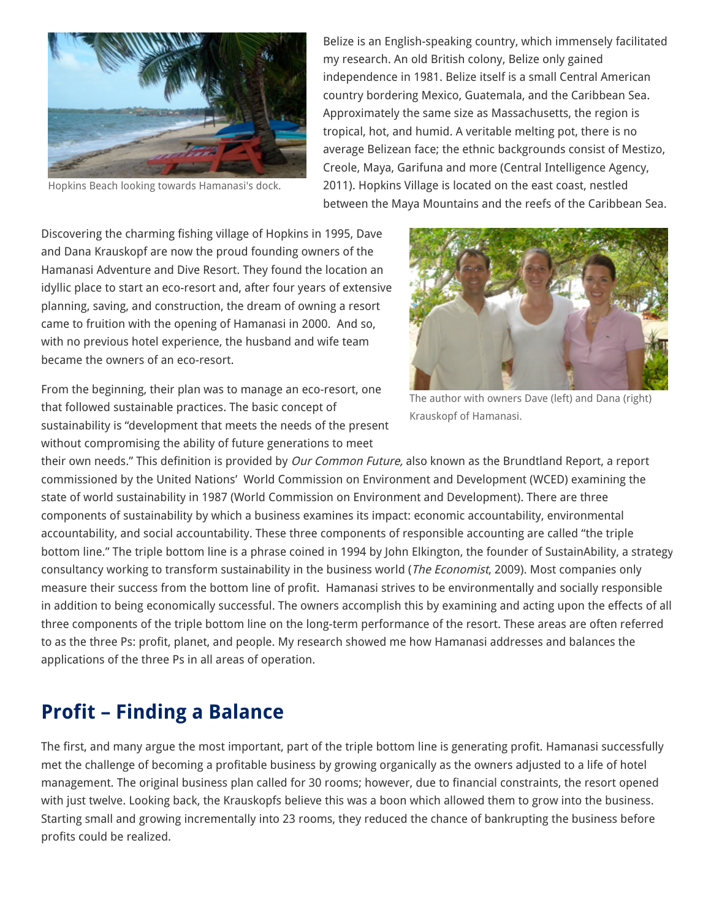

Hopkins Beach looking towards Hamanasi's dock.

Belize is an English-speaking country, which immensely facilitated my research. An old British colony, Belize only gained independence in 1981. Belize itself is a small Central American country bordering Mexico, Guatemala, and the Caribbean Sea. Approximately the same size as Massachusetts, the region is tropical, hot, and humid. A veritable melting pot, there is no average Belizean face; the ethnic backgrounds consist of Mestizo, Creole, Maya, Garifuna and more (Central Intelligence Agency, 2011). Hopkins Village is located on the east coast, nestled between the Maya Mountains and the reefs of the Caribbean Sea.

Discovering the charming fishing village of Hopkins in 1995, Dave and Dana Krauskopf are now the proud founding owners of the Hamanasi Adventure and Dive Resort. They found the location an idyllic place to start an eco-resort and, after four years of extensive planning, saving, and construction, the dream of owning a resort came to fruition with the opening of Hamanasi in 2000. And so, with no previous hotel experience, the husband and wife team became the owners of an eco-resort.

From the beginning, their plan was to manage an eco-resort, one that followed sustainable practices. The basic concept of sustainability is "development that meets the needs of the present without compromising the ability of future generations to meet



The author with owners Dave (left) and Dana (right) Krauskopf of Hamanasi.

their own needs." This definition is provided by *Our Common Future*, also known as the Brundtland Report, a report commissioned by the United Nations' World Commission on Environment and Development (WCED) examining the state of world sustainability in 1987 (World Commission on Environment and Development). There are three components of sustainability by which a business examines its impact: economic accountability, environmental accountability, and social accountability. These three components of responsible accounting are called "the triple bottom line." The triple bottom line is a phrase coined in 1994 by John Elkington, the founder of SustainAbility, a strategy consultancy working to transform sustainability in the business world (The Economist, 2009). Most companies only measure their success from the bottom line of profit. Hamanasi strives to be environmentally and socially responsible in addition to being economically successful. The owners accomplish this by examining and acting upon the effects of all three components of the triple bottom line on the long-term performance of the resort. These areas are often referred to as the three Ps: profit, planet, and people. My research showed me how Hamanasi addresses and balances the applications of the three Ps in all areas of operation.

#### **Profit – Finding a Balance**

The first, and many argue the most important, part of the triple bottom line is generating profit. Hamanasi successfully met the challenge of becoming a profitable business by growing organically as the owners adjusted to a life of hotel management. The original business plan called for 30 rooms; however, due to financial constraints, the resort opened with just twelve. Looking back, the Krauskopfs believe this was a boon which allowed them to grow into the business. Starting small and growing incrementally into 23 rooms, they reduced the chance of bankrupting the business before profits could be realized.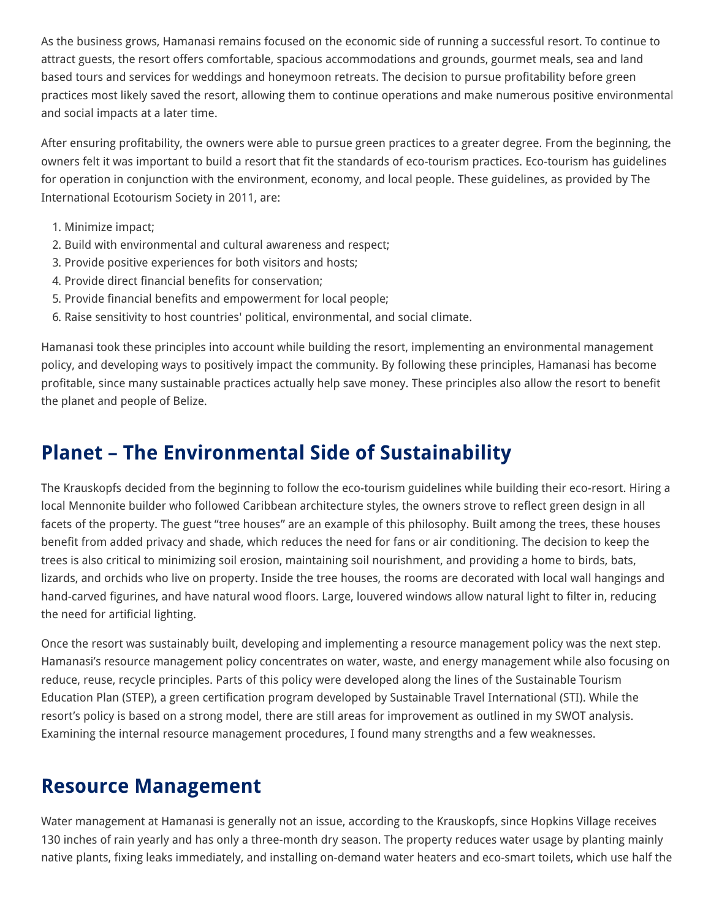As the business grows, Hamanasi remains focused on the economic side of running a successful resort. To continue to attract guests, the resort offers comfortable, spacious accommodations and grounds, gourmet meals, sea and land based tours and services for weddings and honeymoon retreats. The decision to pursue profitability before green practices most likely saved the resort, allowing them to continue operations and make numerous positive environmental and social impacts at a later time.

After ensuring profitability, the owners were able to pursue green practices to a greater degree. From the beginning, the owners felt it was important to build a resort that fit the standards of eco-tourism practices. Eco-tourism has guidelines for operation in conjunction with the environment, economy, and local people. These guidelines, as provided by The International Ecotourism Society in 2011, are:

- 1. Minimize impact;
- 2. Build with environmental and cultural awareness and respect;
- 3. Provide positive experiences for both visitors and hosts;
- 4. Provide direct financial benefits for conservation;
- 5. Provide financial benefits and empowerment for local people;
- 6. Raise sensitivity to host countries' political, environmental, and social climate.

Hamanasi took these principles into account while building the resort, implementing an environmental management policy, and developing ways to positively impact the community. By following these principles, Hamanasi has become profitable, since many sustainable practices actually help save money. These principles also allow the resort to benefit the planet and people of Belize.

#### **Planet – The Environmental Side of Sustainability**

The Krauskopfs decided from the beginning to follow the eco-tourism guidelines while building their eco-resort. Hiring a local Mennonite builder who followed Caribbean architecture styles, the owners strove to reflect green design in all facets of the property. The guest "tree houses" are an example of this philosophy. Built among the trees, these houses benefit from added privacy and shade, which reduces the need for fans or air conditioning. The decision to keep the trees is also critical to minimizing soil erosion, maintaining soil nourishment, and providing a home to birds, bats, lizards, and orchids who live on property. Inside the tree houses, the rooms are decorated with local wall hangings and hand-carved figurines, and have natural wood floors. Large, louvered windows allow natural light to filter in, reducing the need for artificial lighting.

Once the resort was sustainably built, developing and implementing a resource management policy was the next step. Hamanasi's resource management policy concentrates on water, waste, and energy management while also focusing on reduce, reuse, recycle principles. Parts of this policy were developed along the lines of the Sustainable Tourism Education Plan (STEP), a green certification program developed by Sustainable Travel International (STI). While the resort's policy is based on a strong model, there are still areas for improvement as outlined in my SWOT analysis. Examining the internal resource management procedures, I found many strengths and a few weaknesses.

#### **Resource Management**

Water management at Hamanasi is generally not an issue, according to the Krauskopfs, since Hopkins Village receives 130 inches of rain yearly and has only a three-month dry season. The property reduces water usage by planting mainly native plants, fixing leaks immediately, and installing on-demand water heaters and eco-smart toilets, which use half the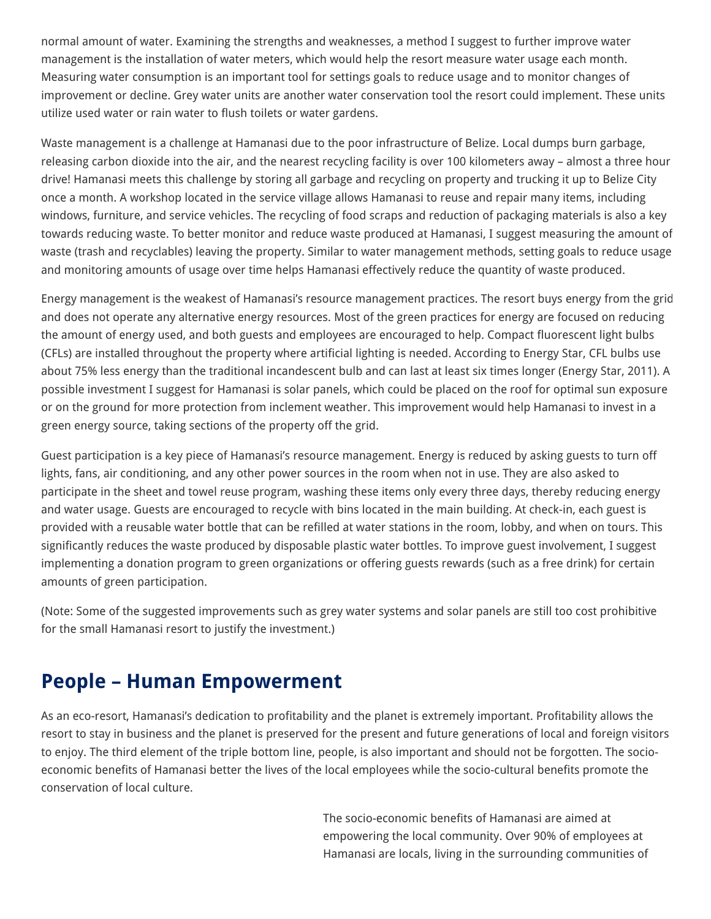normal amount of water. Examining the strengths and weaknesses, a method I suggest to further improve water management is the installation of water meters, which would help the resort measure water usage each month. Measuring water consumption is an important tool for settings goals to reduce usage and to monitor changes of improvement or decline. Grey water units are another water conservation tool the resort could implement. These units utilize used water or rain water to flush toilets or water gardens.

Waste management is a challenge at Hamanasi due to the poor infrastructure of Belize. Local dumps burn garbage, releasing carbon dioxide into the air, and the nearest recycling facility is over 100 kilometers away – almost a three hour drive! Hamanasi meets this challenge by storing all garbage and recycling on property and trucking it up to Belize City once a month. A workshop located in the service village allows Hamanasi to reuse and repair many items, including windows, furniture, and service vehicles. The recycling of food scraps and reduction of packaging materials is also a key towards reducing waste. To better monitor and reduce waste produced at Hamanasi, I suggest measuring the amount of waste (trash and recyclables) leaving the property. Similar to water management methods, setting goals to reduce usage and monitoring amounts of usage over time helps Hamanasi effectively reduce the quantity of waste produced.

Energy management is the weakest of Hamanasi's resource management practices. The resort buys energy from the grid and does not operate any alternative energy resources. Most of the green practices for energy are focused on reducing the amount of energy used, and both guests and employees are encouraged to help. Compact fluorescent light bulbs (CFLs) are installed throughout the property where artificial lighting is needed. According to Energy Star, CFL bulbs use about 75% less energy than the traditional incandescent bulb and can last at least six times longer (Energy Star, 2011). A possible investment I suggest for Hamanasi is solar panels, which could be placed on the roof for optimal sun exposure or on the ground for more protection from inclement weather. This improvement would help Hamanasi to invest in a green energy source, taking sections of the property off the grid.

Guest participation is a key piece of Hamanasi's resource management. Energy is reduced by asking guests to turn off lights, fans, air conditioning, and any other power sources in the room when not in use. They are also asked to participate in the sheet and towel reuse program, washing these items only every three days, thereby reducing energy and water usage. Guests are encouraged to recycle with bins located in the main building. At check-in, each guest is provided with a reusable water bottle that can be refilled at water stations in the room, lobby, and when on tours. This significantly reduces the waste produced by disposable plastic water bottles. To improve guest involvement, I suggest implementing a donation program to green organizations or offering guests rewards (such as a free drink) for certain amounts of green participation.

(Note: Some of the suggested improvements such as grey water systems and solar panels are still too cost prohibitive for the small Hamanasi resort to justify the investment.)

#### **People – Human Empowerment**

As an eco-resort, Hamanasi's dedication to profitability and the planet is extremely important. Profitability allows the resort to stay in business and the planet is preserved for the present and future generations of local and foreign visitors to enjoy. The third element of the triple bottom line, people, is also important and should not be forgotten. The socioeconomic benefits of Hamanasi better the lives of the local employees while the socio-cultural benefits promote the conservation of local culture.

> The socio-economic benefits of Hamanasi are aimed at empowering the local community. Over 90% of employees at Hamanasi are locals, living in the surrounding communities of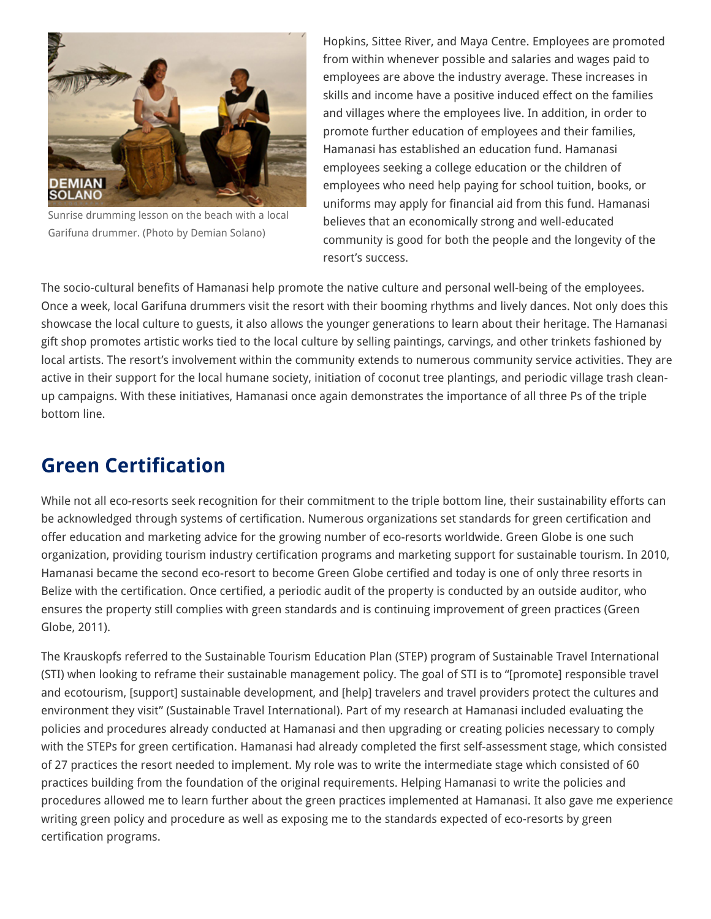

Sunrise drumming lesson on the beach with a local Garifuna drummer. (Photo by Demian Solano)

Hopkins, Sittee River, and Maya Centre. Employees are promoted from within whenever possible and salaries and wages paid to employees are above the industry average. These increases in skills and income have a positive induced effect on the families and villages where the employees live. In addition, in order to promote further education of employees and their families, Hamanasi has established an education fund. Hamanasi employees seeking a college education or the children of employees who need help paying for school tuition, books, or uniforms may apply for financial aid from this fund. Hamanasi believes that an economically strong and well-educated community is good for both the people and the longevity of the resort's success.

The socio-cultural benefits of Hamanasi help promote the native culture and personal well-being of the employees. Once a week, local Garifuna drummers visit the resort with their booming rhythms and lively dances. Not only does this showcase the local culture to guests, it also allows the younger generations to learn about their heritage. The Hamanasi gift shop promotes artistic works tied to the local culture by selling paintings, carvings, and other trinkets fashioned by local artists. The resort's involvement within the community extends to numerous community service activities. They are active in their support for the local humane society, initiation of coconut tree plantings, and periodic village trash cleanup campaigns. With these initiatives, Hamanasi once again demonstrates the importance of all three Ps of the triple bottom line.

### **Green Certification**

While not all eco-resorts seek recognition for their commitment to the triple bottom line, their sustainability efforts can be acknowledged through systems of certification. Numerous organizations set standards for green certification and offer education and marketing advice for the growing number of eco-resorts worldwide. Green Globe is one such organization, providing tourism industry certification programs and marketing support for sustainable tourism. In 2010, Hamanasi became the second eco-resort to become Green Globe certified and today is one of only three resorts in Belize with the certification. Once certified, a periodic audit of the property is conducted by an outside auditor, who ensures the property still complies with green standards and is continuing improvement of green practices (Green Globe, 2011).

The Krauskopfs referred to the Sustainable Tourism Education Plan (STEP) program of Sustainable Travel International (STI) when looking to reframe their sustainable management policy. The goal of STI is to "[promote] responsible travel and ecotourism, [support] sustainable development, and [help] travelers and travel providers protect the cultures and environment they visit" (Sustainable Travel International). Part of my research at Hamanasi included evaluating the policies and procedures already conducted at Hamanasi and then upgrading or creating policies necessary to comply with the STEPs for green certification. Hamanasi had already completed the first self-assessment stage, which consisted of 27 practices the resort needed to implement. My role was to write the intermediate stage which consisted of 60 practices building from the foundation of the original requirements. Helping Hamanasi to write the policies and procedures allowed me to learn further about the green practices implemented at Hamanasi. It also gave me experience writing green policy and procedure as well as exposing me to the standards expected of eco-resorts by green certification programs.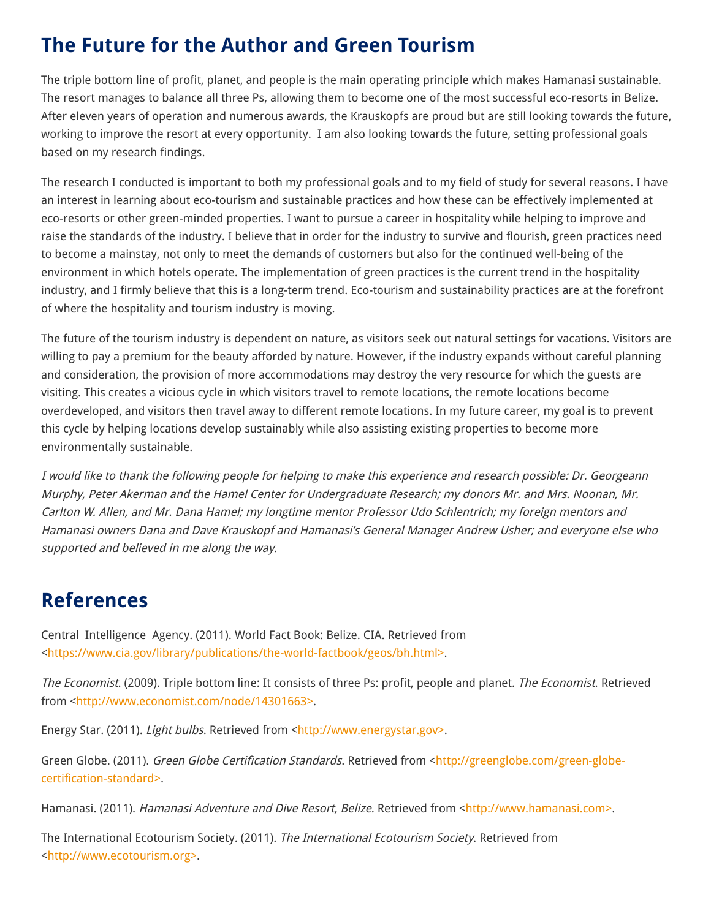### **The Future for the Author and Green Tourism**

The triple bottom line of profit, planet, and people is the main operating principle which makes Hamanasi sustainable. The resort manages to balance all three Ps, allowing them to become one of the most successful eco-resorts in Belize. After eleven years of operation and numerous awards, the Krauskopfs are proud but are still looking towards the future, working to improve the resort at every opportunity. I am also looking towards the future, setting professional goals based on my research findings.

The research I conducted is important to both my professional goals and to my field of study for several reasons. I have an interest in learning about eco-tourism and sustainable practices and how these can be effectively implemented at eco-resorts or other green-minded properties. I want to pursue a career in hospitality while helping to improve and raise the standards of the industry. I believe that in order for the industry to survive and flourish, green practices need to become a mainstay, not only to meet the demands of customers but also for the continued well-being of the environment in which hotels operate. The implementation of green practices is the current trend in the hospitality industry, and I firmly believe that this is a long-term trend. Eco-tourism and sustainability practices are at the forefront of where the hospitality and tourism industry is moving.

The future of the tourism industry is dependent on nature, as visitors seek out natural settings for vacations. Visitors are willing to pay a premium for the beauty afforded by nature. However, if the industry expands without careful planning and consideration, the provision of more accommodations may destroy the very resource for which the guests are visiting. This creates a vicious cycle in which visitors travel to remote locations, the remote locations become overdeveloped, and visitors then travel away to different remote locations. In my future career, my goal is to prevent this cycle by helping locations develop sustainably while also assisting existing properties to become more environmentally sustainable.

I would like to thank the following people for helping to make this experience and research possible: Dr. Georgeann Murphy, Peter Akerman and the Hamel Center for Undergraduate Research; my donors Mr. and Mrs. Noonan, Mr. Carlton W. Allen, and Mr. Dana Hamel; my longtime mentor Professor Udo Schlentrich; my foreign mentors and Hamanasi owners Dana and Dave Krauskopf and Hamanasi's General Manager Andrew Usher; and everyone else who supported and believed in me along the way.

#### **References**

Central Intelligence Agency. (2011). World Fact Book: Belize. CIA. Retrieved from <[https://www.cia.gov/library/publications/the-world-factbook/geos/bh.html>.](https://www.cia.gov/library/publications/the-world-factbook/geos/bh.html%3E)

The Economist. (2009). Triple bottom line: It consists of three Ps: profit, people and planet. The Economist. Retrieved from <[http://www.economist.com/node/14301663>.](http://www.economist.com/node/14301663%3E)

Energy Star. (2011). Light bulbs. Retrieved from [<http://www.energystar.gov>.](http://www.energystar.gov%3E/)

Green Globe. (2011). Green Globe Certification Standards. Retrieved from [<http://greenglobe.com/green-globe](http://greenglobe.com/green-globe-certification-standard%3E)certification-standard>.

Hamanasi. (2011). Hamanasi Adventure and Dive Resort, Belize. Retrieved from [<http://www.hamanasi.com>](http://www.hamanasi.com%3E/).

The International Ecotourism Society. (2011). The International Ecotourism Society. Retrieved from <[http://www.ecotourism.org>](http://www.ecotourism.org%3E/).